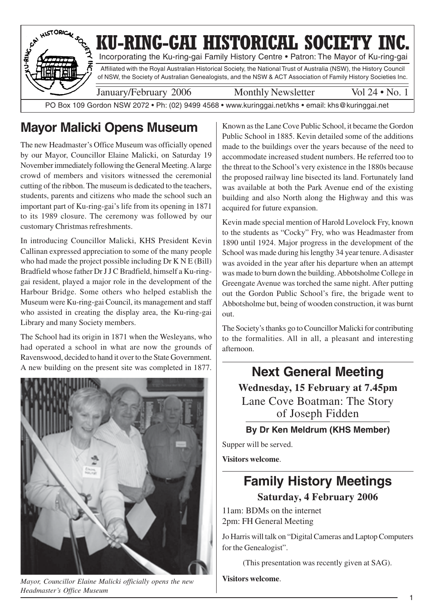

## **Mayor Malicki Opens Museum**

The new Headmaster's Office Museum was officially opened by our Mayor, Councillor Elaine Malicki, on Saturday 19 November immediately following the General Meeting. A large crowd of members and visitors witnessed the ceremonial cutting of the ribbon. The museum is dedicated to the teachers, students, parents and citizens who made the school such an important part of Ku-ring-gai's life from its opening in 1871 to its 1989 closure. The ceremony was followed by our customary Christmas refreshments.

In introducing Councillor Malicki, KHS President Kevin Callinan expressed appreciation to some of the many people who had made the project possible including Dr K N E (Bill) Bradfield whose father Dr J J C Bradfield, himself a Ku-ringgai resident, played a major role in the development of the Harbour Bridge. Some others who helped establish the Museum were Ku-ring-gai Council, its management and staff who assisted in creating the display area, the Ku-ring-gai Library and many Society members.

The School had its origin in 1871 when the Wesleyans, who had operated a school in what are now the grounds of Ravenswood, decided to hand it over to the State Government. A new building on the present site was completed in 1877.



*Mayor, Councillor Elaine Malicki officially opens the new Headmaster's Office Museum*

Known as the Lane Cove Public School, it became the Gordon Public School in 1885. Kevin detailed some of the additions made to the buildings over the years because of the need to accommodate increased student numbers. He referred too to the threat to the School's very existence in the 1880s because the proposed railway line bisected its land. Fortunately land was available at both the Park Avenue end of the existing building and also North along the Highway and this was acquired for future expansion.

Kevin made special mention of Harold Lovelock Fry, known to the students as "Cocky" Fry, who was Headmaster from 1890 until 1924. Major progress in the development of the School was made during his lengthy 34 year tenure. A disaster was avoided in the year after his departure when an attempt was made to burn down the building. Abbotsholme College in Greengate Avenue was torched the same night. After putting out the Gordon Public School's fire, the brigade went to Abbotsholme but, being of wooden construction, it was burnt out.

The Society's thanks go to Councillor Malicki for contributing to the formalities. All in all, a pleasant and interesting afternoon.

**Next General Meeting Wednesday, 15 February at 7.45pm** Lane Cove Boatman: The Story of Joseph Fidden

#### **By Dr Ken Meldrum (KHS Member)**

Supper will be served.

**Visitors welcome**.

## **Family History Meetings Saturday, 4 February 2006**

11am: BDMs on the internet 2pm: FH General Meeting

Jo Harris will talk on "Digital Cameras and Laptop Computers for the Genealogist".

(This presentation was recently given at SAG).

**Visitors welcome**.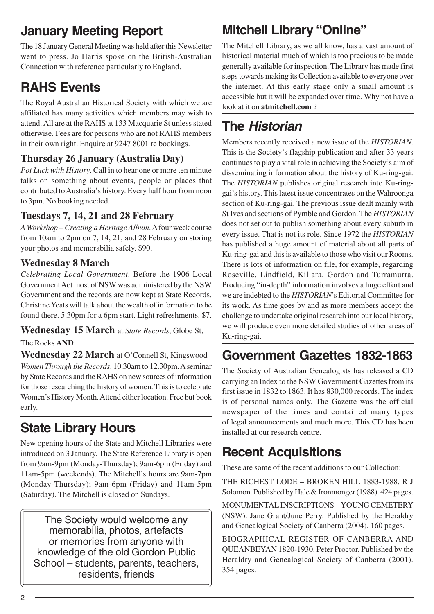## **January Meeting Report**

The 18 January General Meeting was held after this Newsletter went to press. Jo Harris spoke on the British-Australian Connection with reference particularly to England.

# **RAHS Events**

The Royal Australian Historical Society with which we are affiliated has many activities which members may wish to attend. All are at the RAHS at 133 Macquarie St unless stated otherwise. Fees are for persons who are not RAHS members in their own right. Enquire at 9247 8001 re bookings.

### **Thursday 26 January (Australia Day)**

*Pot Luck with History*. Call in to hear one or more ten minute talks on something about events, people or places that contributed to Australia's history. Every half hour from noon to 3pm. No booking needed.

#### **Tuesdays 7, 14, 21 and 28 February**

*A Workshop – Creating a Heritage Album*. A four week course from 10am to 2pm on 7, 14, 21, and 28 February on storing your photos and memorabilia safely. \$90.

#### **Wednesday 8 March**

*Celebrating Local Government*. Before the 1906 Local Government Act most of NSW was administered by the NSW Government and the records are now kept at State Records. Christine Yeats will talk about the wealth of information to be found there. 5.30pm for a 6pm start. Light refreshments. \$7.

# **Wednesday 15 March** at *State Records*, Globe St,

#### The Rocks **AND**

**Wednesday 22 March** at O'Connell St, Kingswood *Women Through the Records*. 10.30am to 12.30pm. A seminar by State Records and the RAHS on new sources of information for those researching the history of women. This is to celebrate Women's History Month. Attend either location. Free but book early.

## **State Library Hours**

New opening hours of the State and Mitchell Libraries were introduced on 3 January. The State Reference Library is open from 9am-9pm (Monday-Thursday); 9am-6pm (Friday) and 11am-5pm (weekends). The Mitchell's hours are 9am-7pm (Monday-Thursday); 9am-6pm (Friday) and 11am-5pm (Saturday). The Mitchell is closed on Sundays.

The Society would welcome any memorabilia, photos, artefacts or memories from anyone with knowledge of the old Gordon Public School – students, parents, teachers, residents, friends

# **Mitchell Library "Online"**

The Mitchell Library, as we all know, has a vast amount of historical material much of which is too precious to be made generally available for inspection. The Library has made first steps towards making its Collection available to everyone over the internet. At this early stage only a small amount is accessible but it will be expanded over time. Why not have a look at it on **atmitchell.com** ?

## **The Historian**

Members recently received a new issue of the *HISTORIAN*. This is the Society's flagship publication and after 33 years continues to play a vital role in achieving the Society's aim of disseminating information about the history of Ku-ring-gai. The *HISTORIAN* publishes original research into Ku-ringgai's history. This latest issue concentrates on the Wahroonga section of Ku-ring-gai. The previous issue dealt mainly with St Ives and sections of Pymble and Gordon. The *HISTORIAN* does not set out to publish something about every suburb in every issue. That is not its role. Since 1972 the *HISTORIAN* has published a huge amount of material about all parts of Ku-ring-gai and this is available to those who visit our Rooms. There is lots of information on file, for example, regarding Roseville, Lindfield, Killara, Gordon and Turramurra. Producing "in-depth" information involves a huge effort and we are indebted to the *HISTORIAN*'s Editorial Committee for its work. As time goes by and as more members accept the challenge to undertake original research into our local history, we will produce even more detailed studies of other areas of Ku-ring-gai.

# **Government Gazettes 1832-1863**

The Society of Australian Genealogists has released a CD carrying an Index to the NSW Government Gazettes from its first issue in 1832 to 1863. It has 830,000 records. The index is of personal names only. The Gazette was the official newspaper of the times and contained many types of legal announcements and much more. This CD has been installed at our research centre.

# **Recent Acquisitions**

These are some of the recent additions to our Collection:

THE RICHEST LODE – BROKEN HILL 1883-1988. R J Solomon. Published by Hale & Ironmonger (1988). 424 pages.

MONUMENTAL INSCRIPTIONS – YOUNG CEMETERY (NSW). Jane Grant/June Perry. Published by the Heraldry and Genealogical Society of Canberra (2004). 160 pages.

BIOGRAPHICAL REGISTER OF CANBERRA AND QUEANBEYAN 1820-1930. Peter Proctor. Published by the Heraldry and Genealogical Society of Canberra (2001). 354 pages.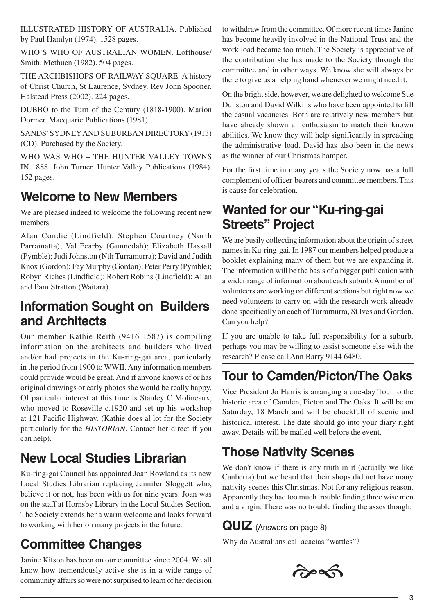ILLUSTRATED HISTORY OF AUSTRALIA. Published by Paul Hamlyn (1974). 1528 pages.

WHO'S WHO OF AUSTRALIAN WOMEN. Lofthouse/ Smith. Methuen (1982). 504 pages.

THE ARCHBISHOPS OF RAILWAY SQUARE. A history of Christ Church, St Laurence, Sydney. Rev John Spooner. Halstead Press (2002). 224 pages.

DUBBO to the Turn of the Century (1818-1900). Marion Dormer. Macquarie Publications (1981).

SANDS' SYDNEY AND SUBURBAN DIRECTORY (1913) (CD). Purchased by the Society.

WHO WAS WHO – THE HUNTER VALLEY TOWNS IN 1888. John Turner. Hunter Valley Publications (1984). 152 pages.

## **Welcome to New Members**

We are pleased indeed to welcome the following recent new members

Alan Condie (Lindfield); Stephen Courtney (North Parramatta); Val Fearby (Gunnedah); Elizabeth Hassall (Pymble); Judi Johnston (Nth Turramurra); David and Judith Knox (Gordon); Fay Murphy (Gordon); Peter Perry (Pymble); Robyn Riches (Lindfield); Robert Robins (Lindfield); Allan and Pam Stratton (Waitara).

## **Information Sought on Builders and Architects**

Our member Kathie Reith (9416 1587) is compiling information on the architects and builders who lived and/or had projects in the Ku-ring-gai area, particularly in the period from 1900 to WWII. Any information members could provide would be great. And if anyone knows of or has original drawings or early photos she would be really happy. Of particular interest at this time is Stanley C Molineaux, who moved to Roseville c.1920 and set up his workshop at 121 Pacific Highway. (Kathie does al lot for the Society particularly for the *HISTORIAN*. Contact her direct if you can help).

## **New Local Studies Librarian**

Ku-ring-gai Council has appointed Joan Rowland as its new Local Studies Librarian replacing Jennifer Sloggett who, believe it or not, has been with us for nine years. Joan was on the staff at Hornsby Library in the Local Studies Section. The Society extends her a warm welcome and looks forward to working with her on many projects in the future.

## **Committee Changes**

Janine Kitson has been on our committee since 2004. We all know how tremendously active she is in a wide range of community affairs so were not surprised to learn of her decision to withdraw from the committee. Of more recent times Janine has become heavily involved in the National Trust and the work load became too much. The Society is appreciative of the contribution she has made to the Society through the committee and in other ways. We know she will always be there to give us a helping hand whenever we might need it.

On the bright side, however, we are delighted to welcome Sue Dunston and David Wilkins who have been appointed to fill the casual vacancies. Both are relatively new members but have already shown an enthusiasm to match their known abilities. We know they will help significantly in spreading the administrative load. David has also been in the news as the winner of our Christmas hamper.

For the first time in many years the Society now has a full complement of officer-bearers and committee members. This is cause for celebration.

## **Wanted for our "Ku-ring-gai Streets" Project**

We are busily collecting information about the origin of street names in Ku-ring-gai. In 1987 our members helped produce a booklet explaining many of them but we are expanding it. The information will be the basis of a bigger publication with a wider range of information about each suburb. A number of volunteers are working on different sections but right now we need volunteers to carry on with the research work already done specifically on each of Turramurra, St Ives and Gordon. Can you help?

If you are unable to take full responsibility for a suburb, perhaps you may be willing to assist someone else with the research? Please call Ann Barry 9144 6480.

## **Tour to Camden/Picton/The Oaks**

Vice President Jo Harris is arranging a one-day Tour to the historic area of Camden, Picton and The Oaks. It will be on Saturday, 18 March and will be chockfull of scenic and historical interest. The date should go into your diary right away. Details will be mailed well before the event.

## **Those Nativity Scenes**

We don't know if there is any truth in it (actually we like Canberra) but we heard that their shops did not have many nativity scenes this Christmas. Not for any religious reason. Apparently they had too much trouble finding three wise men and a virgin. There was no trouble finding the asses though.

**QUIZ** (Answers on page 8)

Why do Australians call acacias "wattles"?

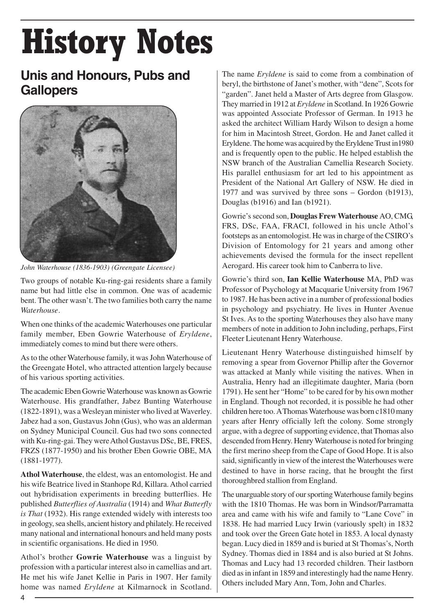# History Notes

## **Unis and Honours, Pubs and Gallopers**



*John Waterhouse (1836-1903) (Greengate Licensee)*

Two groups of notable Ku-ring-gai residents share a family name but had little else in common. One was of academic bent. The other wasn't. The two families both carry the name *Waterhouse*.

When one thinks of the academic Waterhouses one particular family member, Eben Gowrie Waterhouse of *Eryldene*, immediately comes to mind but there were others.

As to the other Waterhouse family, it was John Waterhouse of the Greengate Hotel, who attracted attention largely because of his various sporting activities.

The academic Eben Gowrie Waterhouse was known as Gowrie Waterhouse. His grandfather, Jabez Bunting Waterhouse (1822-1891), was a Wesleyan minister who lived at Waverley. Jabez had a son, Gustavus John (Gus), who was an alderman on Sydney Municipal Council. Gus had two sons connected with Ku-ring-gai. They were Athol Gustavus DSc, BE, FRES, FRZS (1877-1950) and his brother Eben Gowrie OBE, MA (1881-1977).

**Athol Waterhouse**, the eldest, was an entomologist. He and his wife Beatrice lived in Stanhope Rd, Killara. Athol carried out hybridisation experiments in breeding butterflies. He published *Butterflies of Australia* (1914) and *What Butterfly is That* (1932). His range extended widely with interests too in geology, sea shells, ancient history and philately. He received many national and international honours and held many posts in scientific organisations. He died in 1950.

Athol's brother **Gowrie Waterhouse** was a linguist by profession with a particular interest also in camellias and art. He met his wife Janet Kellie in Paris in 1907. Her family home was named *Eryldene* at Kilmarnock in Scotland. The name *Eryldene* is said to come from a combination of beryl, the birthstone of Janet's mother, with "dene", Scots for "garden". Janet held a Master of Arts degree from Glasgow. They married in 1912 at *Eryldene* in Scotland. In 1926 Gowrie was appointed Associate Professor of German. In 1913 he asked the architect William Hardy Wilson to design a home for him in Macintosh Street, Gordon. He and Janet called it Eryldene. The home was acquired by the Eryldene Trust in1980 and is frequently open to the public. He helped establish the NSW branch of the Australian Camellia Research Society. His parallel enthusiasm for art led to his appointment as President of the National Art Gallery of NSW. He died in 1977 and was survived by three sons – Gordon (b1913), Douglas (b1916) and Ian (b1921).

Gowrie's second son, **Douglas Frew Waterhouse** AO, CMG, FRS, DSc, FAA, FRACI, followed in his uncle Athol's footsteps as an entomologist. He was in charge of the CSIRO's Division of Entomology for 21 years and among other achievements devised the formula for the insect repellent Aerogard. His career took him to Canberra to live.

Gowrie's third son, **Ian Kellie Waterhouse** MA, PhD was Professor of Psychology at Macquarie University from 1967 to 1987. He has been active in a number of professional bodies in psychology and psychiatry. He lives in Hunter Avenue St Ives. As to the sporting Waterhouses they also have many members of note in addition to John including, perhaps, First Fleeter Lieutenant Henry Waterhouse.

Lieutenant Henry Waterhouse distinguished himself by removing a spear from Governor Phillip after the Governor was attacked at Manly while visiting the natives. When in Australia, Henry had an illegitimate daughter, Maria (born 1791). He sent her "Home" to be cared for by his own mother in England. Though not recorded, it is possible he had other children here too. A Thomas Waterhouse was born c1810 many years after Henry officially left the colony. Some strongly argue, with a degree of supporting evidence, that Thomas also descended from Henry. Henry Waterhouse is noted for bringing the first merino sheep from the Cape of Good Hope. It is also said, significantly in view of the interest the Waterhouses were destined to have in horse racing, that he brought the first thoroughbred stallion from England.

The unarguable story of our sporting Waterhouse family begins with the 1810 Thomas. He was born in Windsor/Parramatta area and came with his wife and family to "Lane Cove" in 1838. He had married Lucy Irwin (variously spelt) in 1832 and took over the Green Gate hotel in 1853. A local dynasty began. Lucy died in 1859 and is buried at St Thomas's, North Sydney. Thomas died in 1884 and is also buried at St Johns. Thomas and Lucy had 13 recorded children. Their lastborn died as in infant in 1859 and interestingly had the name Henry. Others included Mary Ann, Tom, John and Charles.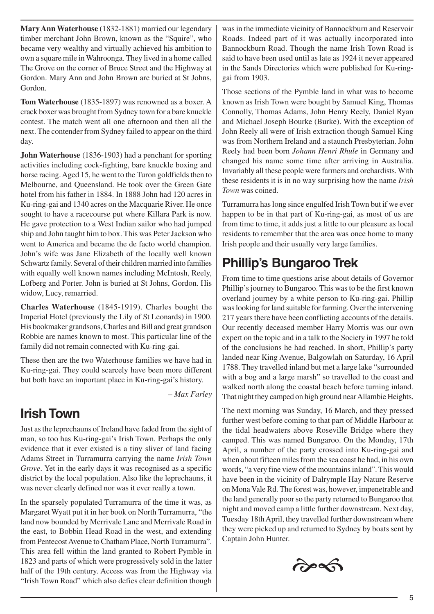**Mary Ann Waterhouse** (1832-1881) married our legendary timber merchant John Brown, known as the "Squire", who became very wealthy and virtually achieved his ambition to own a square mile in Wahroonga. They lived in a home called The Grove on the corner of Bruce Street and the Highway at Gordon. Mary Ann and John Brown are buried at St Johns, Gordon.

**Tom Waterhouse** (1835-1897) was renowned as a boxer. A crack boxer was brought from Sydney town for a bare knuckle contest. The match went all one afternoon and then all the next. The contender from Sydney failed to appear on the third day.

**John Waterhouse** (1836-1903) had a penchant for sporting activities including cock-fighting, bare knuckle boxing and horse racing. Aged 15, he went to the Turon goldfields then to Melbourne, and Queensland. He took over the Green Gate hotel from his father in 1884. In 1888 John had 120 acres in Ku-ring-gai and 1340 acres on the Macquarie River. He once sought to have a racecourse put where Killara Park is now. He gave protection to a West Indian sailor who had jumped ship and John taught him to box. This was Peter Jackson who went to America and became the de facto world champion. John's wife was Jane Elizabeth of the locally well known Schwartz family. Several of their children married into families with equally well known names including McIntosh, Reely, Lofberg and Porter. John is buried at St Johns, Gordon. His widow, Lucy, remarried.

**Charles Waterhouse** (1845-1919). Charles bought the Imperial Hotel (previously the Lily of St Leonards) in 1900. His bookmaker grandsons, Charles and Bill and great grandson Robbie are names known to most. This particular line of the family did not remain connected with Ku-ring-gai.

These then are the two Waterhouse families we have had in Ku-ring-gai. They could scarcely have been more different but both have an important place in Ku-ring-gai's history.

– *Max Farley*

## **Irish Town**

Just as the leprechauns of Ireland have faded from the sight of man, so too has Ku-ring-gai's Irish Town. Perhaps the only evidence that it ever existed is a tiny sliver of land facing Adams Street in Turramurra carrying the name *Irish Town Grove*. Yet in the early days it was recognised as a specific district by the local population. Also like the leprechauns, it was never clearly defined nor was it ever really a town.

In the sparsely populated Turramurra of the time it was, as Margaret Wyatt put it in her book on North Turramurra, "the land now bounded by Merrivale Lane and Merrivale Road in the east, to Bobbin Head Road in the west, and extending from Pentecost Avenue to Chatham Place, North Turramurra". This area fell within the land granted to Robert Pymble in 1823 and parts of which were progressively sold in the latter half of the 19th century. Access was from the Highway via "Irish Town Road" which also defies clear definition though

was in the immediate vicinity of Bannockburn and Reservoir Roads. Indeed part of it was actually incorporated into Bannockburn Road. Though the name Irish Town Road is said to have been used until as late as 1924 it never appeared in the Sands Directories which were published for Ku-ringgai from 1903.

Those sections of the Pymble land in what was to become known as Irish Town were bought by Samuel King, Thomas Connolly, Thomas Adams, John Henry Reely, Daniel Ryan and Michael Joseph Bourke (Burke). With the exception of John Reely all were of Irish extraction though Samuel King was from Northern Ireland and a staunch Presbyterian. John Reely had been born *Johann Henri Rhule* in Germany and changed his name some time after arriving in Australia. Invariably all these people were farmers and orchardists. With these residents it is in no way surprising how the name *Irish Town* was coined.

Turramurra has long since engulfed Irish Town but if we ever happen to be in that part of Ku-ring-gai, as most of us are from time to time, it adds just a little to our pleasure as local residents to remember that the area was once home to many Irish people and their usually very large families.

## **Phillip's Bungaroo Trek**

From time to time questions arise about details of Governor Phillip's journey to Bungaroo. This was to be the first known overland journey by a white person to Ku-ring-gai. Phillip was looking for land suitable for farming. Over the intervening 217 years there have been conflicting accounts of the details. Our recently deceased member Harry Morris was our own expert on the topic and in a talk to the Society in 1997 he told of the conclusions he had reached. In short, Phillip's party landed near King Avenue, Balgowlah on Saturday, 16 April 1788. They travelled inland but met a large lake "surrounded with a bog and a large marsh" so travelled to the coast and walked north along the coastal beach before turning inland. That night they camped on high ground near Allambie Heights.

The next morning was Sunday, 16 March, and they pressed further west before coming to that part of Middle Harbour at the tidal headwaters above Roseville Bridge where they camped. This was named Bungaroo. On the Monday, 17th April, a number of the party crossed into Ku-ring-gai and when about fifteen miles from the sea coast he had, in his own words, "a very fine view of the mountains inland". This would have been in the vicinity of Dalrymple Hay Nature Reserve on Mona Vale Rd. The forest was, however, impenetrable and the land generally poor so the party returned to Bungaroo that night and moved camp a little further downstream. Next day, Tuesday 18th April, they travelled further downstream where they were picked up and returned to Sydney by boats sent by Captain John Hunter.

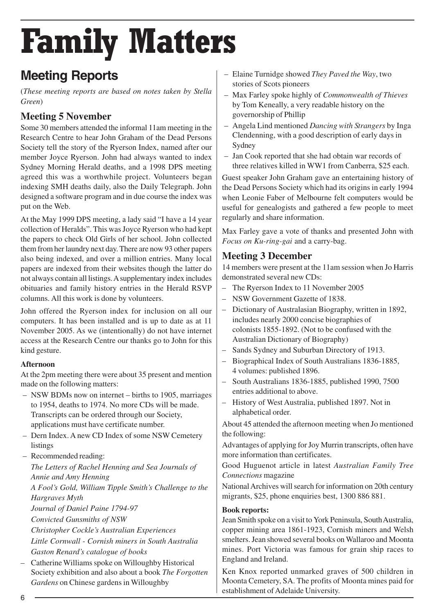# Family Matters

## **Meeting Reports**

(*These meeting reports are based on notes taken by Stella Green*)

#### **Meeting 5 November**

Some 30 members attended the informal 11am meeting in the Research Centre to hear John Graham of the Dead Persons Society tell the story of the Ryerson Index, named after our member Joyce Ryerson. John had always wanted to index Sydney Morning Herald deaths, and a 1998 DPS meeting agreed this was a worthwhile project. Volunteers began indexing SMH deaths daily, also the Daily Telegraph. John designed a software program and in due course the index was put on the Web.

At the May 1999 DPS meeting, a lady said "I have a 14 year collection of Heralds". This was Joyce Ryerson who had kept the papers to check Old Girls of her school. John collected them from her laundry next day. There are now 93 other papers also being indexed, and over a million entries. Many local papers are indexed from their websites though the latter do not always contain all listings. A supplementary index includes obituaries and family history entries in the Herald RSVP columns. All this work is done by volunteers.

John offered the Ryerson index for inclusion on all our computers. It has been installed and is up to date as at 11 November 2005. As we (intentionally) do not have internet access at the Research Centre our thanks go to John for this kind gesture.

#### **Afternoon**

At the 2pm meeting there were about 35 present and mention made on the following matters:

- NSW BDMs now on internet births to 1905, marriages to 1954, deaths to 1974. No more CDs will be made. Transcripts can be ordered through our Society, applications must have certificate number.
- Dern Index. A new CD Index of some NSW Cemetery listings

– Recommended reading:

*The Letters of Rachel Henning and Sea Journals of Annie and Amy Henning A Fool's Gold, William Tipple Smith's Challenge to the Hargraves Myth Journal of Daniel Paine 1794-97 Convicted Gunsmiths of NSW Christopher Cockle's Australian Experiences Little Cornwall - Cornish miners in South Australia Gaston Renard's catalogue of books* – Catherine Williams spoke on Willoughby Historical Society exhibition and also about a book *The Forgotten Gardens* on Chinese gardens in Willoughby

- Elaine Turnidge showed *They Paved the Way*, two stories of Scots pioneers
- Max Farley spoke highly of *Commonwealth of Thieves* by Tom Keneally, a very readable history on the governorship of Phillip
- Angela Lind mentioned *Dancing with Strangers* by Inga Clendenning, with a good description of early days in Sydney
- Jan Cook reported that she had obtain war records of three relatives killed in WW1 from Canberra, \$25 each.

Guest speaker John Graham gave an entertaining history of the Dead Persons Society which had its origins in early 1994 when Leonie Faber of Melbourne felt computers would be useful for genealogists and gathered a few people to meet regularly and share information.

Max Farley gave a vote of thanks and presented John with *Focus on Ku-ring-gai* and a carry-bag.

#### **Meeting 3 December**

14 members were present at the 11am session when Jo Harris demonstrated several new CDs:

- The Ryerson Index to 11 November 2005
- NSW Government Gazette of 1838.
- Dictionary of Australasian Biography, written in 1892, includes nearly 2000 concise biographies of colonists 1855-1892. (Not to be confused with the Australian Dictionary of Biography)
- Sands Sydney and Suburban Directory of 1913.
- Biographical Index of South Australians 1836-1885, 4 volumes: published 1896.
- South Australians 1836-1885, published 1990, 7500 entries additional to above.
- History of West Australia, published 1897. Not in alphabetical order.

About 45 attended the afternoon meeting when Jo mentioned the following:

Advantages of applying for Joy Murrin transcripts, often have more information than certificates.

Good Huguenot article in latest *Australian Family Tree Connections* magazine

National Archives will search for information on 20th century migrants, \$25, phone enquiries best, 1300 886 881.

#### **Book reports:**

Jean Smith spoke on a visit to York Peninsula, South Australia, copper mining area 1861-1923, Cornish miners and Welsh smelters. Jean showed several books on Wallaroo and Moonta mines. Port Victoria was famous for grain ship races to England and Ireland.

Ken Knox reported unmarked graves of 500 children in Moonta Cemetery, SA. The profits of Moonta mines paid for establishment of Adelaide University.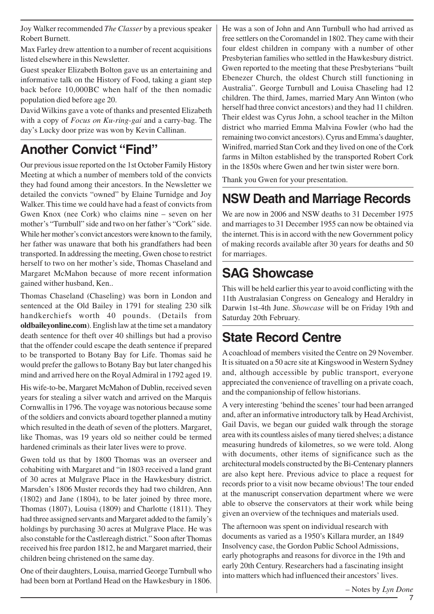Joy Walker recommended *The Classer* by a previous speaker Robert Burnett.

Max Farley drew attention to a number of recent acquisitions listed elsewhere in this Newsletter.

Guest speaker Elizabeth Bolton gave us an entertaining and informative talk on the History of Food, taking a giant step back before 10,000BC when half of the then nomadic population died before age 20.

David Wilkins gave a vote of thanks and presented Elizabeth with a copy of *Focus on Ku-ring-gai* and a carry-bag. The day's Lucky door prize was won by Kevin Callinan.

## **Another Convict "Find"**

Our previous issue reported on the 1st October Family History Meeting at which a number of members told of the convicts they had found among their ancestors. In the Newsletter we detailed the convicts "owned" by Elaine Turnidge and Joy Walker. This time we could have had a feast of convicts from Gwen Knox (nee Cork) who claims nine – seven on her mother's "Turnbull" side and two on her father's "Cork" side. While her mother's convict ancestors were known to the family, her father was unaware that both his grandfathers had been transported. In addressing the meeting, Gwen chose to restrict herself to two on her mother's side, Thomas Chaseland and Margaret McMahon because of more recent information gained wither husband, Ken..

Thomas Chaseland (Chaseling) was born in London and sentenced at the Old Bailey in 1791 for stealing 230 silk handkerchiefs worth 40 pounds. (Details from **oldbaileyonline.com**). English law at the time set a mandatory death sentence for theft over 40 shillings but had a proviso that the offender could escape the death sentence if prepared to be transported to Botany Bay for Life. Thomas said he would prefer the gallows to Botany Bay but later changed his mind and arrived here on the Royal Admiral in 1792 aged 19.

His wife-to-be, Margaret McMahon of Dublin, received seven years for stealing a silver watch and arrived on the Marquis Cornwallis in 1796. The voyage was notorious because some of the soldiers and convicts aboard together planned a mutiny which resulted in the death of seven of the plotters. Margaret, like Thomas, was 19 years old so neither could be termed hardened criminals as their later lives were to prove.

Gwen told us that by 1800 Thomas was an overseer and cohabiting with Margaret and "in 1803 received a land grant of 30 acres at Mulgrave Place in the Hawkesbury district. Marsden's 1806 Muster records they had two children, Ann (1802) and Jane (1804), to be later joined by three more, Thomas (1807), Louisa (1809) and Charlotte (1811). They had three assigned servants and Margaret added to the family's holdings by purchasing 30 acres at Mulgrave Place. He was also constable for the Castlereagh district." Soon after Thomas received his free pardon 1812, he and Margaret married, their children being christened on the same day.

One of their daughters, Louisa, married George Turnbull who had been born at Portland Head on the Hawkesbury in 1806. He was a son of John and Ann Turnbull who had arrived as free settlers on the Coromandel in 1802. They came with their four eldest children in company with a number of other Presbyterian families who settled in the Hawkesbury district. Gwen reported to the meeting that these Presbyterians "built Ebenezer Church, the oldest Church still functioning in Australia". George Turnbull and Louisa Chaseling had 12 children. The third, James, married Mary Ann Winton (who herself had three convict ancestors) and they had 11 children. Their eldest was Cyrus John, a school teacher in the Milton district who married Emma Malvina Fowler (who had the remaining two convict ancestors). Cyrus and Emma's daughter, Winifred, married Stan Cork and they lived on one of the Cork farms in Milton established by the transported Robert Cork in the 1850s where Gwen and her twin sister were born.

Thank you Gwen for your presentation.

## **NSW Death and Marriage Records**

We are now in 2006 and NSW deaths to 31 December 1975 and marriages to 31 December 1955 can now be obtained via the internet. This is in accord with the new Government policy of making records available after 30 years for deaths and 50 for marriages.

## **SAG Showcase**

This will be held earlier this year to avoid conflicting with the 11th Australasian Congress on Genealogy and Heraldry in Darwin 1st-4th June. *Showcase* will be on Friday 19th and Saturday 20th February.

## **State Record Centre**

A coachload of members visited the Centre on 29 November. It is situated on a 50 acre site at Kingswood in Western Sydney and, although accessible by public transport, everyone appreciated the convenience of travelling on a private coach, and the companionship of fellow historians.

A very interesting 'behind the scenes' tour had been arranged and, after an informative introductory talk by Head Archivist, Gail Davis, we began our guided walk through the storage area with its countless aisles of many tiered shelves; a distance measuring hundreds of kilometres, so we were told. Along with documents, other items of significance such as the architectural models constructed by the Bi-Centenary planners are also kept here. Previous advice to place a request for records prior to a visit now became obvious! The tour ended at the manuscript conservation department where we were able to observe the conservators at their work while being given an overview of the techniques and materials used.

The afternoon was spent on individual research with documents as varied as a 1950's Killara murder, an 1849 Insolvency case, the Gordon Public School Admissions, early photographs and reasons for divorce in the 19th and early 20th Century. Researchers had a fascinating insight into matters which had influenced their ancestors' lives.